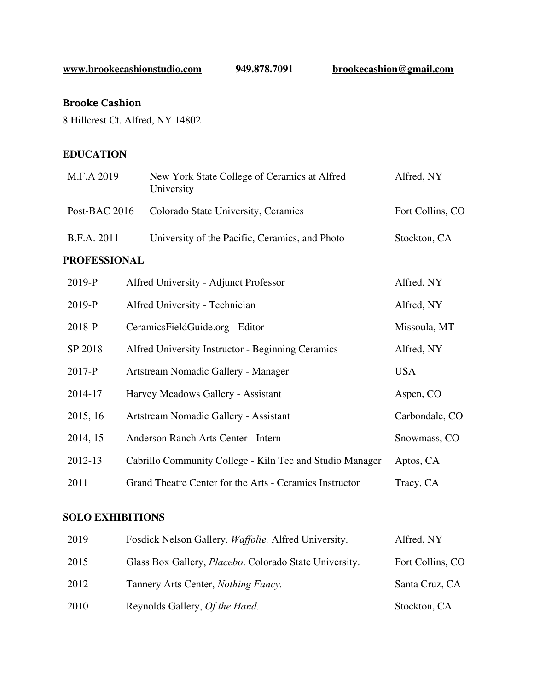**[www.brookecashionstudio.com](http://www.brookecashionstudio.com/) 949.878.7091 [brookecashion@gmail.com](mailto:brookecashion@gmail.com)**

# **Brooke Cashion**

8 Hillcrest Ct. Alfred, NY 14802

#### **EDUCATION**

| M.F.A 2019          |  | New York State College of Ceramics at Alfred<br>University | Alfred, NY       |
|---------------------|--|------------------------------------------------------------|------------------|
| Post-BAC 2016       |  | Colorado State University, Ceramics                        | Fort Collins, CO |
| B.F.A. 2011         |  | University of the Pacific, Ceramics, and Photo             | Stockton, CA     |
| <b>PROFESSIONAL</b> |  |                                                            |                  |
| 2019-P              |  | Alfred University - Adjunct Professor                      | Alfred, NY       |
| 2019-P              |  | Alfred University - Technician                             | Alfred, NY       |
| 2018-P              |  | CeramicsFieldGuide.org - Editor                            | Missoula, MT     |
| SP 2018             |  | Alfred University Instructor - Beginning Ceramics          | Alfred, NY       |
| 2017-P              |  | Artstream Nomadic Gallery - Manager                        | <b>USA</b>       |
| 2014-17             |  | Harvey Meadows Gallery - Assistant                         | Aspen, CO        |
| 2015, 16            |  | Artstream Nomadic Gallery - Assistant                      | Carbondale, CO   |
| 2014, 15            |  | Anderson Ranch Arts Center - Intern                        | Snowmass, CO     |

2012-13 Cabrillo Community College - Kiln Tec and Studio Manager Aptos, CA 2011 Grand Theatre Center for the Arts - Ceramics Instructor Tracy, CA

#### **SOLO EXHIBITIONS**

| 2019 | Fosdick Nelson Gallery. Waffolie. Alfred University.           | Alfred, NY       |
|------|----------------------------------------------------------------|------------------|
| 2015 | Glass Box Gallery, <i>Placebo</i> . Colorado State University. | Fort Collins, CO |
| 2012 | Tannery Arts Center, <i>Nothing Fancy</i> .                    | Santa Cruz, CA   |
| 2010 | Reynolds Gallery, <i>Of the Hand</i> .                         | Stockton, CA     |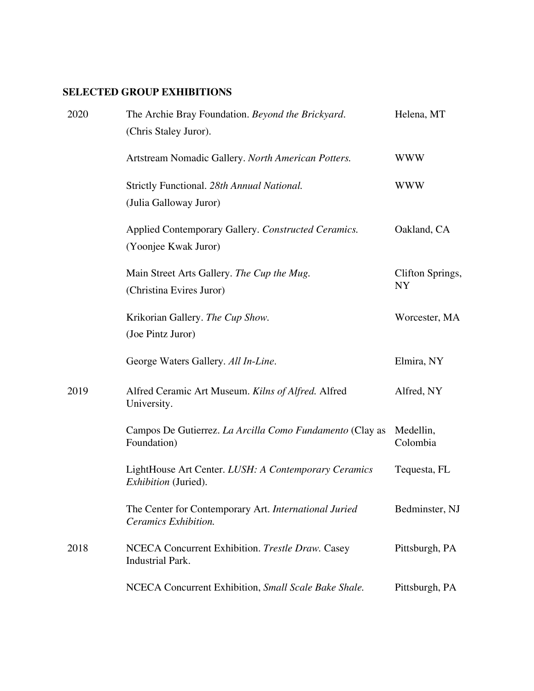## **SELECTED GROUP EXHIBITIONS**

| 2020 | The Archie Bray Foundation. Beyond the Brickyard.<br>(Chris Staley Juror).          | Helena, MT                    |
|------|-------------------------------------------------------------------------------------|-------------------------------|
|      | Artstream Nomadic Gallery. North American Potters.                                  | <b>WWW</b>                    |
|      | Strictly Functional. 28th Annual National.<br>(Julia Galloway Juror)                | <b>WWW</b>                    |
|      | Applied Contemporary Gallery. Constructed Ceramics.<br>(Yoonjee Kwak Juror)         | Oakland, CA                   |
|      | Main Street Arts Gallery. The Cup the Mug.<br>(Christina Evires Juror)              | Clifton Springs,<br><b>NY</b> |
|      | Krikorian Gallery. The Cup Show.<br>(Joe Pintz Juror)                               | Worcester, MA                 |
|      | George Waters Gallery. All In-Line.                                                 | Elmira, NY                    |
| 2019 | Alfred Ceramic Art Museum. Kilns of Alfred. Alfred<br>University.                   | Alfred, NY                    |
|      | Campos De Gutierrez. La Arcilla Como Fundamento (Clay as<br>Foundation)             | Medellin,<br>Colombia         |
|      | LightHouse Art Center. LUSH: A Contemporary Ceramics<br><i>Exhibition</i> (Juried). | Tequesta, FL                  |
|      | The Center for Contemporary Art. International Juried<br>Ceramics Exhibition.       | Bedminster, NJ                |
| 2018 | NCECA Concurrent Exhibition. Trestle Draw. Casey<br><b>Industrial Park.</b>         | Pittsburgh, PA                |
|      | NCECA Concurrent Exhibition, Small Scale Bake Shale.                                | Pittsburgh, PA                |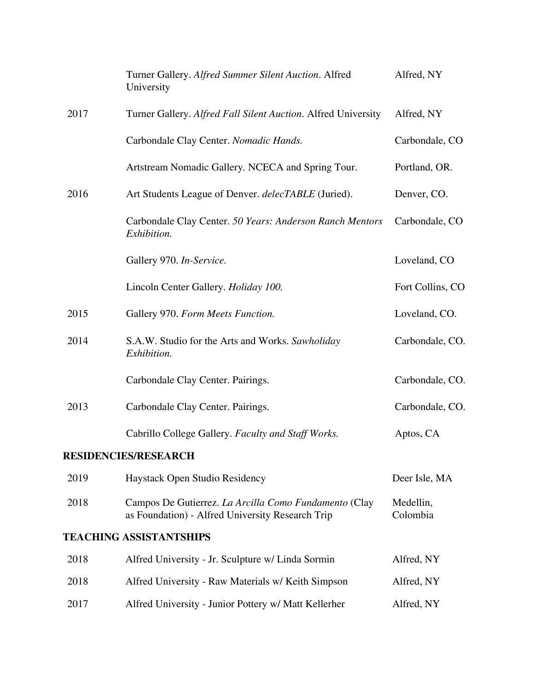|      | Turner Gallery. Alfred Summer Silent Auction. Alfred<br>University                                        | Alfred, NY            |
|------|-----------------------------------------------------------------------------------------------------------|-----------------------|
| 2017 | Turner Gallery. Alfred Fall Silent Auction. Alfred University                                             | Alfred, NY            |
|      | Carbondale Clay Center. Nomadic Hands.                                                                    | Carbondale, CO        |
|      | Artstream Nomadic Gallery. NCECA and Spring Tour.                                                         | Portland, OR.         |
| 2016 | Art Students League of Denver. delecTABLE (Juried).                                                       | Denver, CO.           |
|      | Carbondale Clay Center. 50 Years: Anderson Ranch Mentors<br>Exhibition.                                   | Carbondale, CO        |
|      | Gallery 970. In-Service.                                                                                  | Loveland, CO          |
|      | Lincoln Center Gallery. Holiday 100.                                                                      | Fort Collins, CO      |
| 2015 | Gallery 970. Form Meets Function.                                                                         | Loveland, CO.         |
| 2014 | S.A.W. Studio for the Arts and Works. Sawholiday<br>Exhibition.                                           | Carbondale, CO.       |
|      | Carbondale Clay Center. Pairings.                                                                         | Carbondale, CO.       |
| 2013 | Carbondale Clay Center. Pairings.                                                                         | Carbondale, CO.       |
|      | Cabrillo College Gallery. Faculty and Staff Works.                                                        | Aptos, CA             |
|      | <b>RESIDENCIES/RESEARCH</b>                                                                               |                       |
| 2019 | Haystack Open Studio Residency                                                                            | Deer Isle, MA         |
| 2018 | Campos De Gutierrez. La Arcilla Como Fundamento (Clay<br>as Foundation) - Alfred University Research Trip | Medellin,<br>Colombia |
|      | <b>TEACHING ASSISTANTSHIPS</b>                                                                            |                       |
| 2018 | Alfred University - Jr. Sculpture w/ Linda Sormin                                                         | Alfred, NY            |
| 2018 | Alfred University - Raw Materials w/ Keith Simpson                                                        | Alfred, NY            |
| 2017 | Alfred University - Junior Pottery w/ Matt Kellerher                                                      | Alfred, NY            |